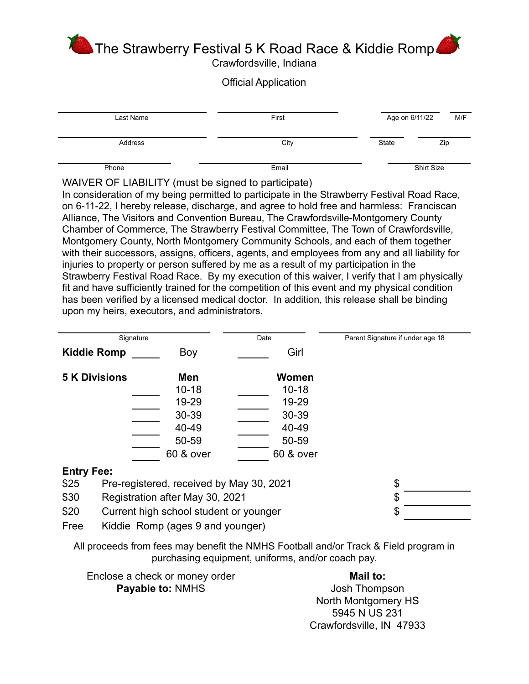The Strawberry Festival 5 K Road Race & Kiddie Romp

Crawfordsville, Indiana

## Official Application

| Last Name | First | Age on 6/11/22 | M/F        |
|-----------|-------|----------------|------------|
| Address   | City  | State          | Zip        |
| Phone     | Email |                | Shirt Size |

WAIVER OF LIABILITY (must be signed to participate)

In consideration of my being permitted to participate in the Strawberry Festival Road Race, on 6-11-22, I hereby release, discharge, and agree to hold free and harmless: Franciscan Alliance, The Visitors and Convention Bureau, The Crawfordsville-Montgomery County Chamber of Commerce, The Strawberry Festival Committee, The Town of Crawfordsville, Montgomery County, North Montgomery Community Schools, and each of them together with their successors, assigns, officers, agents, and employees from any and all liability for injuries to property or person suffered by me as a result of my participation in the Strawberry Festival Road Race. By my execution of this waiver, I verify that I am physically fit and have sufficiently trained for the competition of this event and my physical condition has been verified by a licensed medical doctor. In addition, this release shall be binding upon my heirs, executors, and administrators.

| Signature                                        |           | Date         | Parent Signature if under age 18 |
|--------------------------------------------------|-----------|--------------|----------------------------------|
| <b>Kiddie Romp</b>                               | Boy       | Girl         |                                  |
| <b>5 K Divisions</b>                             | Men       | <b>Women</b> |                                  |
|                                                  | $10 - 18$ | $10 - 18$    |                                  |
|                                                  | 19-29     | 19-29        |                                  |
|                                                  | 30-39     | 30-39        |                                  |
|                                                  | 40-49     | 40-49        |                                  |
|                                                  | 50-59     | 50-59        |                                  |
|                                                  | 60 & over | 60 & over    |                                  |
| <b>Entry Fee:</b>                                |           |              |                                  |
| Pre-registered, received by May 30, 2021<br>\$25 |           | \$           |                                  |
| \$30<br>Registration after May 30, 2021          |           | \$           |                                  |

\$20 Current high school student or younger \$

Free Kiddie Romp (ages 9 and younger)

All proceeds from fees may benefit the NMHS Football and/or Track & Field program in purchasing equipment, uniforms, and/or coach pay.

| Enclose a check or money order | Mail to:            |
|--------------------------------|---------------------|
| <b>Payable to: NMHS</b>        | Josh Thompson       |
|                                | North Montgomery HS |

5945 N US 231 Crawfordsville, IN 47933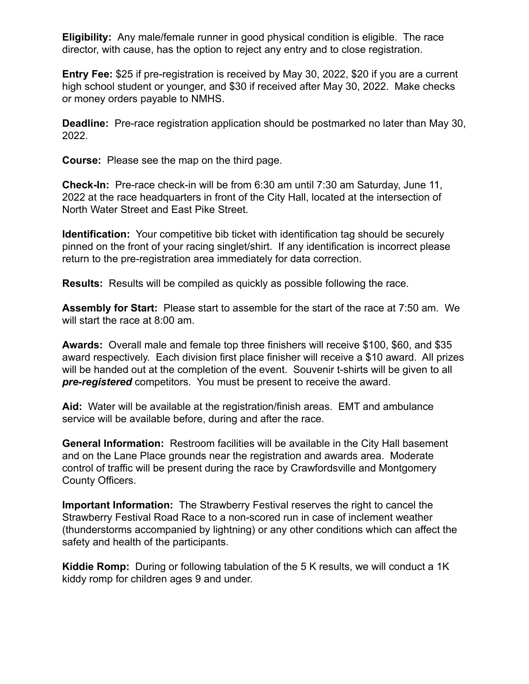**Eligibility:** Any male/female runner in good physical condition is eligible. The race director, with cause, has the option to reject any entry and to close registration.

**Entry Fee:** \$25 if pre-registration is received by May 30, 2022, \$20 if you are a current high school student or younger, and \$30 if received after May 30, 2022. Make checks or money orders payable to NMHS.

**Deadline:** Pre-race registration application should be postmarked no later than May 30, 2022.

**Course:** Please see the map on the third page.

**Check-In:** Pre-race check-in will be from 6:30 am until 7:30 am Saturday, June 11, 2022 at the race headquarters in front of the City Hall, located at the intersection of North Water Street and East Pike Street.

**Identification:** Your competitive bib ticket with identification tag should be securely pinned on the front of your racing singlet/shirt. If any identification is incorrect please return to the pre-registration area immediately for data correction.

**Results:** Results will be compiled as quickly as possible following the race.

**Assembly for Start:** Please start to assemble for the start of the race at 7:50 am. We will start the race at 8:00 am.

**Awards:** Overall male and female top three finishers will receive \$100, \$60, and \$35 award respectively. Each division first place finisher will receive a \$10 award. All prizes will be handed out at the completion of the event. Souvenir t-shirts will be given to all *pre-registered* competitors. You must be present to receive the award.

**Aid:** Water will be available at the registration/finish areas. EMT and ambulance service will be available before, during and after the race.

**General Information:** Restroom facilities will be available in the City Hall basement and on the Lane Place grounds near the registration and awards area. Moderate control of traffic will be present during the race by Crawfordsville and Montgomery County Officers.

**Important Information:** The Strawberry Festival reserves the right to cancel the Strawberry Festival Road Race to a non-scored run in case of inclement weather (thunderstorms accompanied by lightning) or any other conditions which can affect the safety and health of the participants.

**Kiddie Romp:** During or following tabulation of the 5 K results, we will conduct a 1K kiddy romp for children ages 9 and under.